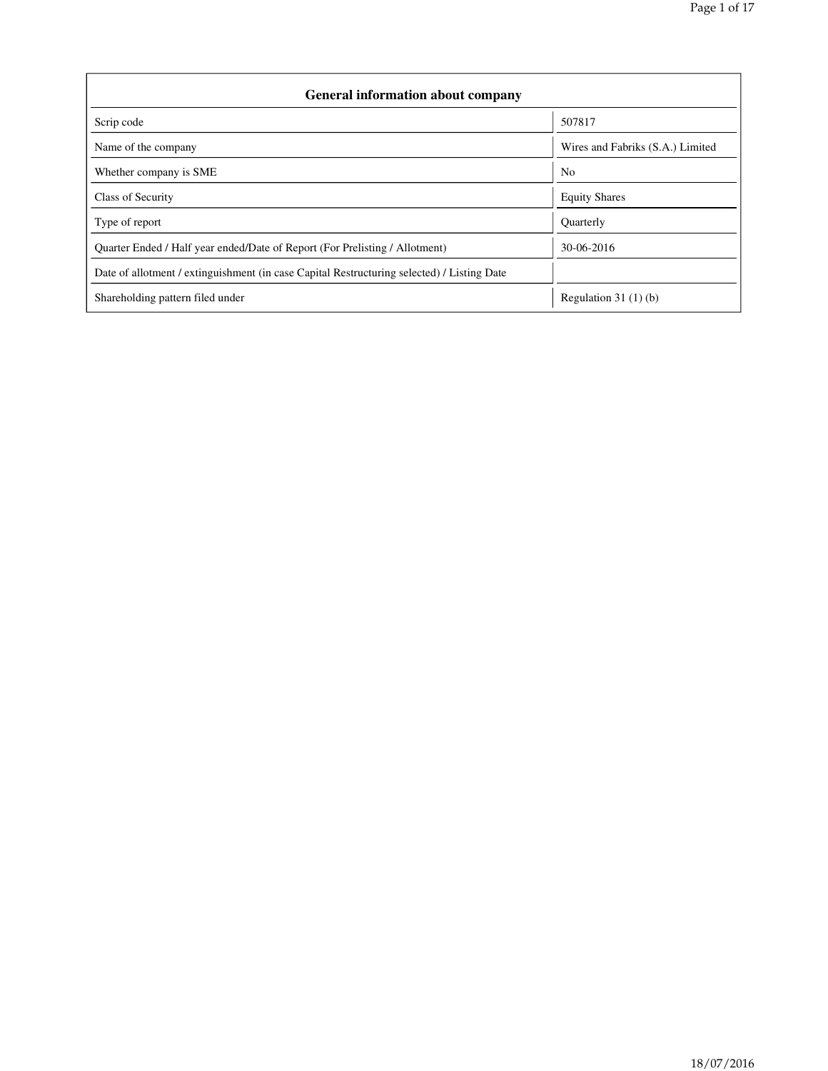| <b>General information about company</b>                                                   |                                  |  |  |  |  |  |  |  |
|--------------------------------------------------------------------------------------------|----------------------------------|--|--|--|--|--|--|--|
| Scrip code                                                                                 | 507817                           |  |  |  |  |  |  |  |
| Name of the company                                                                        | Wires and Fabriks (S.A.) Limited |  |  |  |  |  |  |  |
| Whether company is SME                                                                     | N <sub>0</sub>                   |  |  |  |  |  |  |  |
| Class of Security                                                                          | <b>Equity Shares</b>             |  |  |  |  |  |  |  |
| Type of report                                                                             | <b>Quarterly</b>                 |  |  |  |  |  |  |  |
| Ouarter Ended / Half year ended/Date of Report (For Prelisting / Allotment)                | 30-06-2016                       |  |  |  |  |  |  |  |
| Date of allotment / extinguishment (in case Capital Restructuring selected) / Listing Date |                                  |  |  |  |  |  |  |  |
| Shareholding pattern filed under                                                           | Regulation $31(1)(b)$            |  |  |  |  |  |  |  |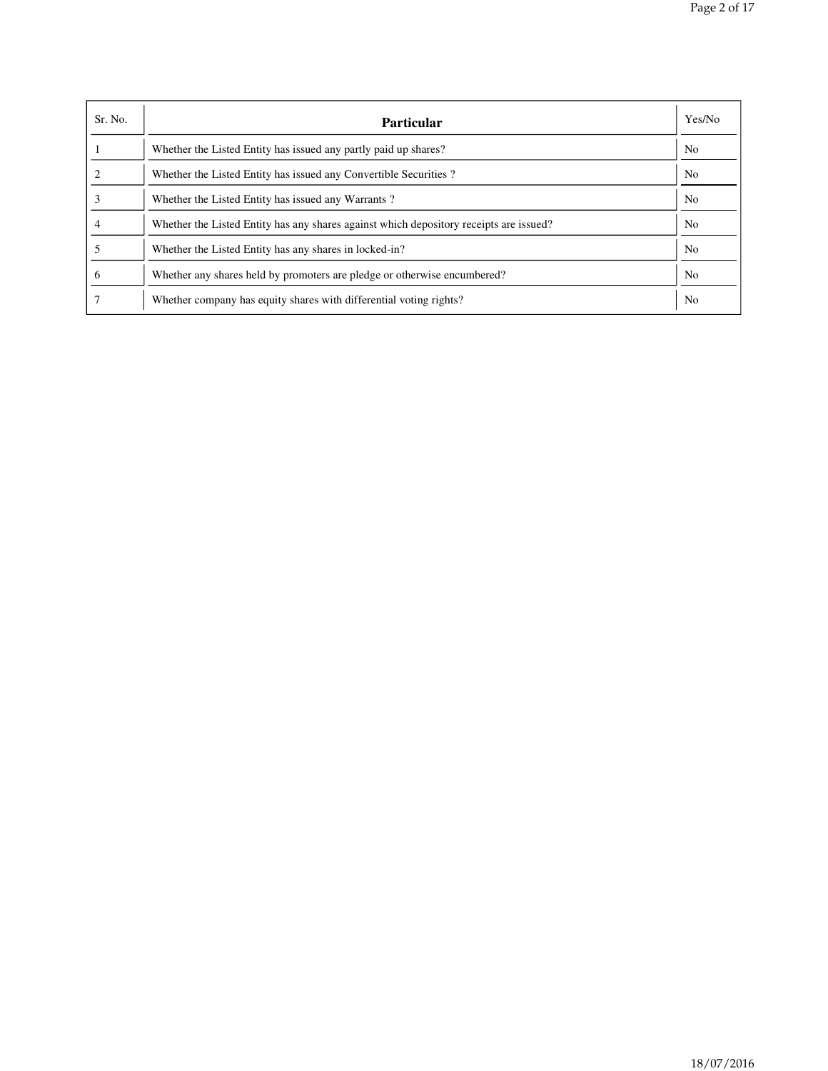| Sr. No. | Particular                                                                             | Yes/No         |
|---------|----------------------------------------------------------------------------------------|----------------|
|         | Whether the Listed Entity has issued any partly paid up shares?                        | N <sub>0</sub> |
|         | Whether the Listed Entity has issued any Convertible Securities?                       | N <sub>0</sub> |
|         | Whether the Listed Entity has issued any Warrants?                                     | No.            |
|         | Whether the Listed Entity has any shares against which depository receipts are issued? | N <sub>0</sub> |
|         | Whether the Listed Entity has any shares in locked-in?                                 | N <sub>0</sub> |
| O       | Whether any shares held by promoters are pledge or otherwise encumbered?               | No.            |
|         | Whether company has equity shares with differential voting rights?                     | N <sub>0</sub> |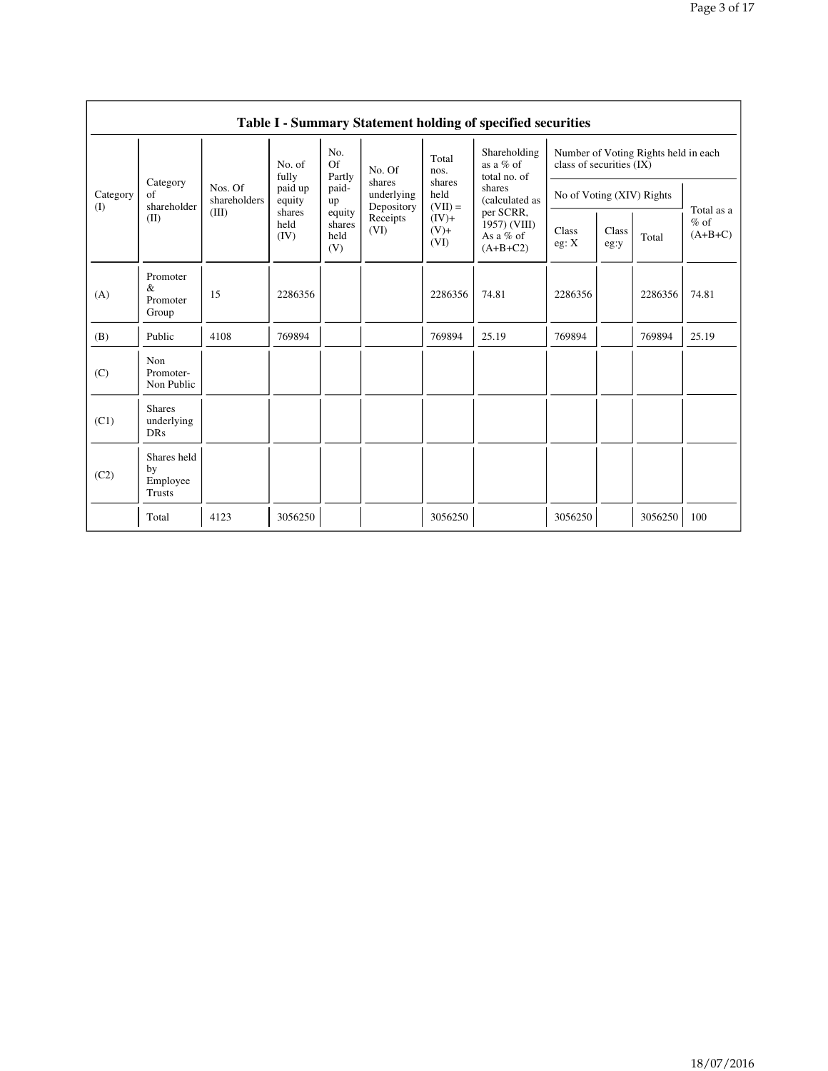|                 |                                           |                         |                        |                                 |                                    |                             | Table I - Summary Statement holding of specified securities |                                                                  |               |         |                                   |
|-----------------|-------------------------------------------|-------------------------|------------------------|---------------------------------|------------------------------------|-----------------------------|-------------------------------------------------------------|------------------------------------------------------------------|---------------|---------|-----------------------------------|
|                 |                                           |                         | No. of<br>fully        | No.<br>Of<br>Partly             | No. Of                             | Total<br>nos.               | Shareholding<br>as a % of<br>total no. of                   | Number of Voting Rights held in each<br>class of securities (IX) |               |         |                                   |
| Category<br>(I) | Category<br>of<br>shareholder             | Nos. Of<br>shareholders | paid up<br>equity      | paid-<br>up                     | shares<br>underlying<br>Depository | shares<br>held<br>$(VII) =$ | shares<br>(calculated as                                    | No of Voting (XIV) Rights                                        |               |         |                                   |
|                 | (II)                                      | (III)                   | shares<br>held<br>(IV) | equity<br>shares<br>held<br>(V) | Receipts<br>(VI)                   | $(IV)+$<br>$(V)$ +<br>(VI)  | per SCRR,<br>$1957)$ (VIII)<br>As a % of<br>$(A+B+C2)$      | Class<br>eg: X                                                   | Class<br>eg:y | Total   | Total as a<br>$%$ of<br>$(A+B+C)$ |
| (A)             | Promoter<br>&<br>Promoter<br>Group        | 15                      | 2286356                |                                 |                                    | 2286356                     | 74.81                                                       | 2286356                                                          |               | 2286356 | 74.81                             |
| (B)             | Public                                    | 4108                    | 769894                 |                                 |                                    | 769894                      | 25.19                                                       | 769894                                                           |               | 769894  | 25.19                             |
| (C)             | Non<br>Promoter-<br>Non Public            |                         |                        |                                 |                                    |                             |                                                             |                                                                  |               |         |                                   |
| (C1)            | <b>Shares</b><br>underlying<br><b>DRs</b> |                         |                        |                                 |                                    |                             |                                                             |                                                                  |               |         |                                   |
| (C2)            | Shares held<br>by<br>Employee<br>Trusts   |                         |                        |                                 |                                    |                             |                                                             |                                                                  |               |         |                                   |
|                 | Total                                     | 4123                    | 3056250                |                                 |                                    | 3056250                     |                                                             | 3056250                                                          |               | 3056250 | 100                               |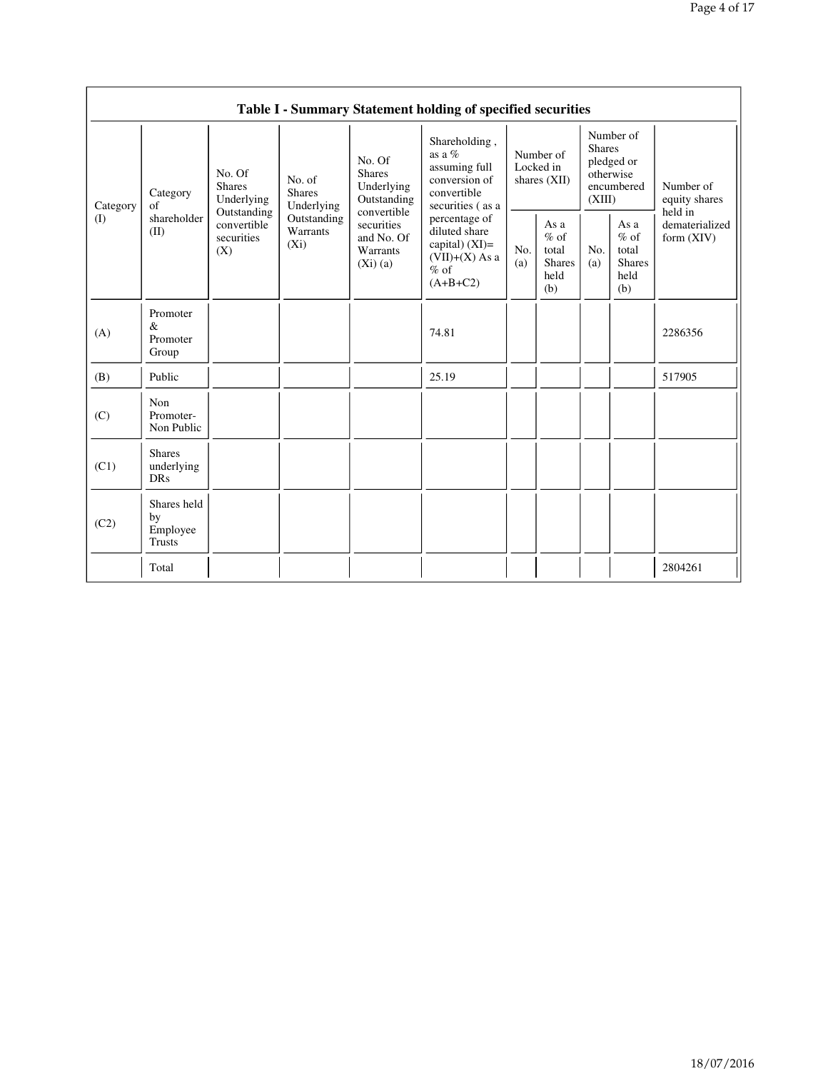|          |                                                |                                                 |                                       |                                                                     | Table I - Summary Statement holding of specified securities                                    |            |                                                         |                                                                               |                                                         |                                       |  |
|----------|------------------------------------------------|-------------------------------------------------|---------------------------------------|---------------------------------------------------------------------|------------------------------------------------------------------------------------------------|------------|---------------------------------------------------------|-------------------------------------------------------------------------------|---------------------------------------------------------|---------------------------------------|--|
| Category | Category<br>of                                 | No. Of<br><b>Shares</b><br>Underlying           | No. of<br><b>Shares</b><br>Underlying | No. Of<br><b>Shares</b><br>Underlying<br>Outstanding<br>convertible | Shareholding,<br>as a $%$<br>assuming full<br>conversion of<br>convertible<br>securities (as a |            | Number of<br>Locked in<br>shares $(XII)$                | Number of<br><b>Shares</b><br>pledged or<br>otherwise<br>encumbered<br>(XIII) |                                                         | Number of<br>equity shares<br>held in |  |
| (I)      | shareholder<br>(II)                            | Outstanding<br>convertible<br>securities<br>(X) | Outstanding<br>Warrants<br>$(X_i)$    | securities<br>and No. Of<br>Warrants<br>(Xi)(a)                     | percentage of<br>diluted share<br>capital) $(XI)=$<br>$(VII)+(X)$ As a<br>$%$ of<br>$(A+B+C2)$ | No.<br>(a) | As a<br>$%$ of<br>total<br><b>Shares</b><br>held<br>(b) | No.<br>(a)                                                                    | As a<br>$%$ of<br>total<br><b>Shares</b><br>held<br>(b) | dematerialized<br>form $(XIV)$        |  |
| (A)      | Promoter<br>&<br>Promoter<br>Group             |                                                 |                                       |                                                                     | 74.81                                                                                          |            |                                                         |                                                                               |                                                         | 2286356                               |  |
| (B)      | Public                                         |                                                 |                                       |                                                                     | 25.19                                                                                          |            |                                                         |                                                                               |                                                         | 517905                                |  |
| (C)      | Non<br>Promoter-<br>Non Public                 |                                                 |                                       |                                                                     |                                                                                                |            |                                                         |                                                                               |                                                         |                                       |  |
| (C1)     | <b>Shares</b><br>underlying<br><b>DRs</b>      |                                                 |                                       |                                                                     |                                                                                                |            |                                                         |                                                                               |                                                         |                                       |  |
| (C2)     | Shares held<br>by<br>Employee<br><b>Trusts</b> |                                                 |                                       |                                                                     |                                                                                                |            |                                                         |                                                                               |                                                         |                                       |  |
|          | Total                                          |                                                 |                                       |                                                                     |                                                                                                |            |                                                         |                                                                               |                                                         | 2804261                               |  |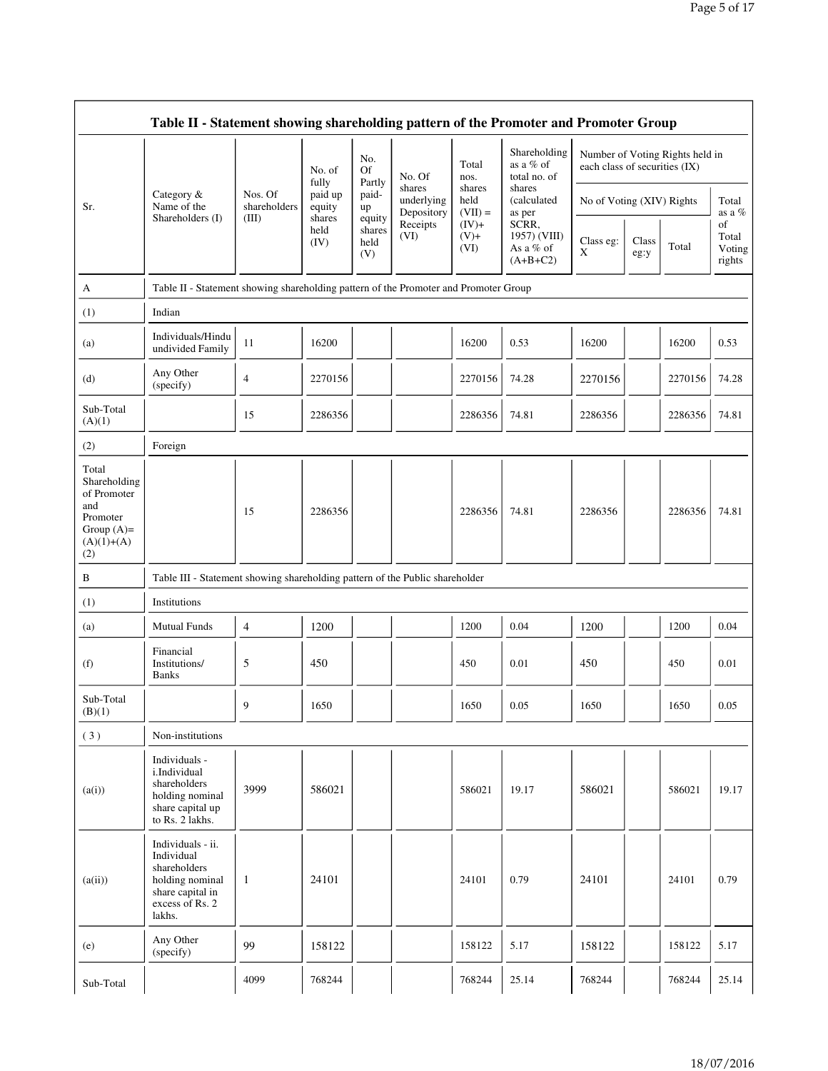|                                                                                                |                                                                                                                     |                                  | No. of<br>fully             | No.<br><b>Of</b><br>Partly | No. Of                             | Total<br>nos.               | Shareholding<br>as a % of<br>total no. of        |                           |               | Number of Voting Rights held in<br>each class of securities (IX) |                                 |
|------------------------------------------------------------------------------------------------|---------------------------------------------------------------------------------------------------------------------|----------------------------------|-----------------------------|----------------------------|------------------------------------|-----------------------------|--------------------------------------------------|---------------------------|---------------|------------------------------------------------------------------|---------------------------------|
| Sr.                                                                                            | Category &<br>Name of the<br>Shareholders (I)                                                                       | Nos. Of<br>shareholders<br>(III) | paid up<br>equity<br>shares | paid-<br>up<br>equity      | shares<br>underlying<br>Depository | shares<br>held<br>$(VII) =$ | shares<br>(calculated<br>as per                  | No of Voting (XIV) Rights |               |                                                                  | Total<br>as a %                 |
|                                                                                                |                                                                                                                     |                                  | held<br>(IV)                | shares<br>held<br>(V)      | Receipts<br>(VI)                   | $(IV)+$<br>$(V)$ +<br>(VI)  | SCRR,<br>1957) (VIII)<br>As a % of<br>$(A+B+C2)$ | Class eg:<br>X            | Class<br>eg:y | Total                                                            | of<br>Total<br>Voting<br>rights |
| A                                                                                              | Table II - Statement showing shareholding pattern of the Promoter and Promoter Group                                |                                  |                             |                            |                                    |                             |                                                  |                           |               |                                                                  |                                 |
| (1)                                                                                            | Indian                                                                                                              |                                  |                             |                            |                                    |                             |                                                  |                           |               |                                                                  |                                 |
| (a)                                                                                            | Individuals/Hindu<br>undivided Family                                                                               | 11                               | 16200                       |                            |                                    | 16200                       | 0.53                                             | 16200                     |               | 16200                                                            | 0.53                            |
| (d)                                                                                            | Any Other<br>(specify)                                                                                              | $\overline{4}$                   | 2270156                     |                            |                                    | 2270156                     | 74.28                                            | 2270156                   |               | 2270156                                                          | 74.28                           |
| Sub-Total<br>(A)(1)                                                                            |                                                                                                                     | 15                               | 2286356                     |                            |                                    | 2286356                     | 74.81                                            | 2286356                   |               | 2286356                                                          | 74.81                           |
| (2)                                                                                            | Foreign                                                                                                             |                                  |                             |                            |                                    |                             |                                                  |                           |               |                                                                  |                                 |
| Total<br>Shareholding<br>of Promoter<br>and<br>Promoter<br>Group $(A)=$<br>$(A)(1)+(A)$<br>(2) |                                                                                                                     | 15                               | 2286356                     |                            |                                    | 2286356                     | 74.81                                            | 2286356                   |               | 2286356                                                          | 74.81                           |
| B                                                                                              | Table III - Statement showing shareholding pattern of the Public shareholder                                        |                                  |                             |                            |                                    |                             |                                                  |                           |               |                                                                  |                                 |
| (1)                                                                                            | Institutions                                                                                                        |                                  |                             |                            |                                    |                             |                                                  |                           |               |                                                                  |                                 |
| (a)                                                                                            | <b>Mutual Funds</b>                                                                                                 | 4                                | 1200                        |                            |                                    | 1200                        | 0.04                                             | 1200                      |               | 1200                                                             | 0.04                            |
| (f)                                                                                            | Financial<br>Institutions/<br><b>Banks</b>                                                                          | 5                                | 450                         |                            |                                    | 450                         | 0.01                                             | 450                       |               | 450                                                              | 0.01                            |
| Sub-Total<br>(B)(1)                                                                            |                                                                                                                     | 9                                | 1650                        |                            |                                    | 1650                        | 0.05                                             | 1650                      |               | 1650                                                             | 0.05                            |
| (3)                                                                                            | Non-institutions                                                                                                    |                                  |                             |                            |                                    |                             |                                                  |                           |               |                                                                  |                                 |
| (a(i))                                                                                         | Individuals -<br>i.Individual<br>shareholders<br>holding nominal<br>share capital up<br>to Rs. 2 lakhs.             | 3999                             | 586021                      |                            |                                    | 586021                      | 19.17                                            | 586021                    |               | 586021                                                           | 19.17                           |
| (a(ii))                                                                                        | Individuals - ii.<br>Individual<br>shareholders<br>holding nominal<br>share capital in<br>excess of Rs. 2<br>lakhs. | $\mathbf{1}$                     | 24101                       |                            |                                    | 24101                       | 0.79                                             | 24101                     |               | 24101                                                            | 0.79                            |
| (e)                                                                                            | Any Other<br>(specify)                                                                                              | 99                               | 158122                      |                            |                                    | 158122                      | 5.17                                             | 158122                    |               | 158122                                                           | 5.17                            |
| Sub-Total                                                                                      |                                                                                                                     | 4099                             | 768244                      |                            |                                    | 768244                      | 25.14                                            | 768244                    |               | 768244                                                           | 25.14                           |
|                                                                                                |                                                                                                                     |                                  |                             |                            |                                    |                             |                                                  |                           |               |                                                                  |                                 |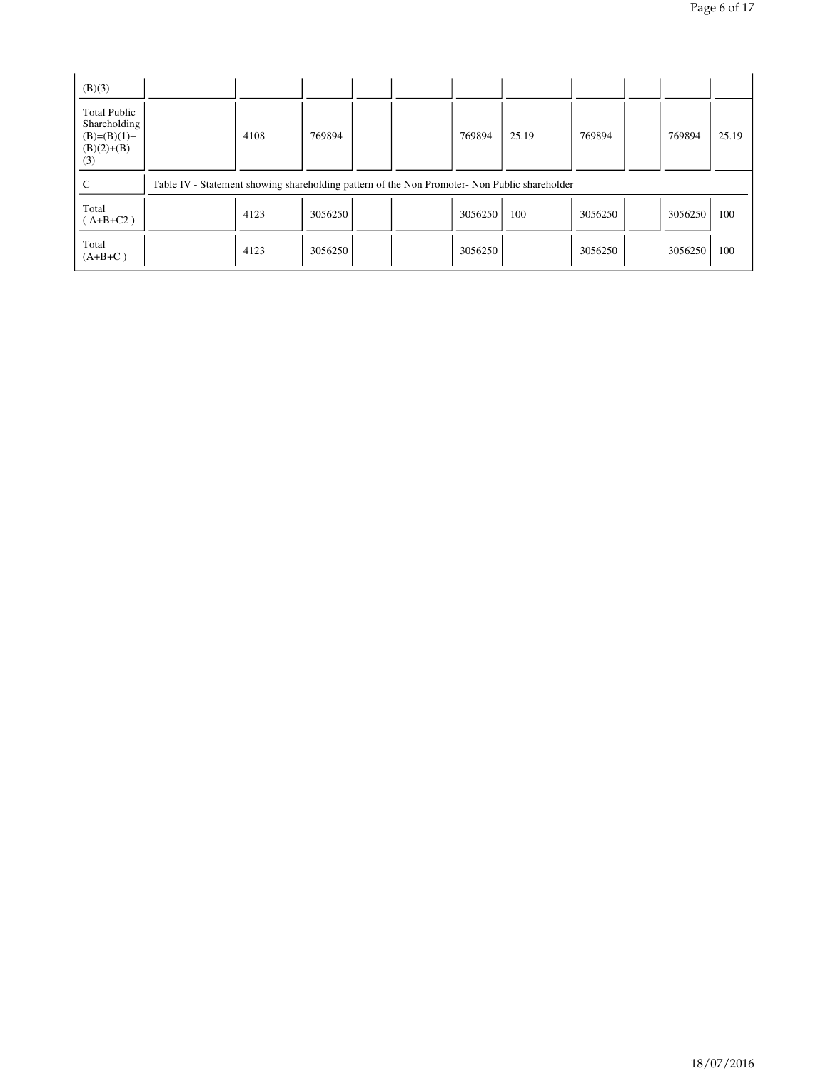| (B)(3)                                                                      |                                                                                               |      |         |  |         |       |         |         |       |
|-----------------------------------------------------------------------------|-----------------------------------------------------------------------------------------------|------|---------|--|---------|-------|---------|---------|-------|
| <b>Total Public</b><br>Shareholding<br>$(B)=(B)(1)+$<br>$(B)(2)+(B)$<br>(3) |                                                                                               | 4108 | 769894  |  | 769894  | 25.19 | 769894  | 769894  | 25.19 |
| $\mathsf{C}$                                                                | Table IV - Statement showing shareholding pattern of the Non Promoter- Non Public shareholder |      |         |  |         |       |         |         |       |
| Total<br>$(A+B+C2)$                                                         |                                                                                               | 4123 | 3056250 |  | 3056250 | 100   | 3056250 | 3056250 | 100   |
| Total<br>$(A+B+C)$                                                          |                                                                                               | 4123 | 3056250 |  | 3056250 |       | 3056250 | 3056250 | 100   |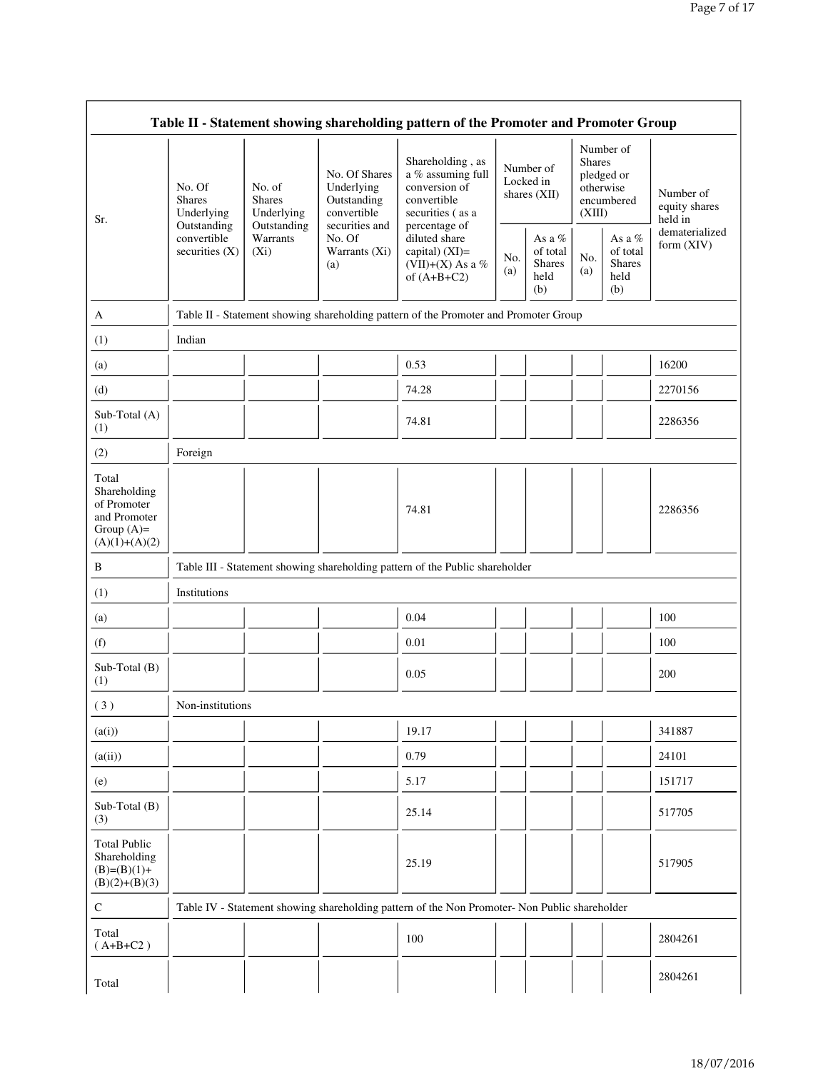|                                                                                         |                                                |                                       |                                                                             | Table II - Statement showing shareholding pattern of the Promoter and Promoter Group          |            |                                                      |                                      |                                                    |                                       |
|-----------------------------------------------------------------------------------------|------------------------------------------------|---------------------------------------|-----------------------------------------------------------------------------|-----------------------------------------------------------------------------------------------|------------|------------------------------------------------------|--------------------------------------|----------------------------------------------------|---------------------------------------|
| Sr.                                                                                     | No. Of<br><b>Shares</b><br>Underlying          | No. of<br><b>Shares</b><br>Underlying | No. Of Shares<br>Underlying<br>Outstanding<br>convertible<br>securities and | Shareholding, as<br>a % assuming full<br>conversion of<br>convertible<br>securities (as a     |            | Number of<br>Locked in<br>shares $(XII)$             | <b>Shares</b><br>otherwise<br>(XIII) | Number of<br>pledged or<br>encumbered              | Number of<br>equity shares<br>held in |
|                                                                                         | Outstanding<br>convertible<br>securities $(X)$ | Outstanding<br>Warrants<br>$(X_i)$    | No. Of<br>Warrants (Xi)<br>(a)                                              | percentage of<br>diluted share<br>capital) $(XI)$ =<br>(VII)+(X) As a %<br>of $(A+B+C2)$      | No.<br>(a) | As a $%$<br>of total<br><b>Shares</b><br>held<br>(b) | No.<br>(a)                           | As a %<br>of total<br><b>Shares</b><br>held<br>(b) | dematerialized<br>form (XIV)          |
| A                                                                                       |                                                |                                       |                                                                             | Table II - Statement showing shareholding pattern of the Promoter and Promoter Group          |            |                                                      |                                      |                                                    |                                       |
| (1)                                                                                     | Indian                                         |                                       |                                                                             |                                                                                               |            |                                                      |                                      |                                                    |                                       |
| (a)                                                                                     |                                                |                                       |                                                                             | 0.53                                                                                          |            |                                                      |                                      |                                                    | 16200                                 |
| (d)                                                                                     |                                                |                                       |                                                                             | 74.28                                                                                         |            |                                                      |                                      |                                                    | 2270156                               |
| Sub-Total (A)<br>(1)                                                                    |                                                |                                       |                                                                             | 74.81                                                                                         |            |                                                      |                                      |                                                    | 2286356                               |
| (2)                                                                                     | Foreign                                        |                                       |                                                                             |                                                                                               |            |                                                      |                                      |                                                    |                                       |
| Total<br>Shareholding<br>of Promoter<br>and Promoter<br>Group $(A)=$<br>$(A)(1)+(A)(2)$ |                                                |                                       |                                                                             | 74.81                                                                                         |            |                                                      |                                      |                                                    | 2286356                               |
| B                                                                                       |                                                |                                       |                                                                             | Table III - Statement showing shareholding pattern of the Public shareholder                  |            |                                                      |                                      |                                                    |                                       |
| (1)                                                                                     | Institutions                                   |                                       |                                                                             |                                                                                               |            |                                                      |                                      |                                                    |                                       |
| (a)                                                                                     |                                                |                                       |                                                                             | 0.04                                                                                          |            |                                                      |                                      |                                                    | 100                                   |
| (f)                                                                                     |                                                |                                       |                                                                             | 0.01                                                                                          |            |                                                      |                                      |                                                    | 100                                   |
| Sub-Total (B)<br>(1)                                                                    |                                                |                                       |                                                                             | 0.05                                                                                          |            |                                                      |                                      |                                                    | 200                                   |
| (3)                                                                                     | Non-institutions                               |                                       |                                                                             |                                                                                               |            |                                                      |                                      |                                                    |                                       |
| (a(i))                                                                                  |                                                |                                       |                                                                             | 19.17                                                                                         |            |                                                      |                                      |                                                    | 341887                                |
| (a(ii))                                                                                 |                                                |                                       |                                                                             | 0.79                                                                                          |            |                                                      |                                      |                                                    | 24101                                 |
| (e)                                                                                     |                                                |                                       |                                                                             | 5.17                                                                                          |            |                                                      |                                      |                                                    | 151717                                |
| Sub-Total (B)<br>(3)                                                                    |                                                |                                       |                                                                             | 25.14                                                                                         |            |                                                      |                                      |                                                    | 517705                                |
| <b>Total Public</b><br>Shareholding<br>$(B)=(B)(1)+$<br>$(B)(2)+(B)(3)$                 |                                                |                                       |                                                                             | 25.19                                                                                         |            |                                                      |                                      |                                                    | 517905                                |
| $\mathbf C$                                                                             |                                                |                                       |                                                                             | Table IV - Statement showing shareholding pattern of the Non Promoter- Non Public shareholder |            |                                                      |                                      |                                                    |                                       |
| Total<br>$(A+B+C2)$                                                                     |                                                |                                       |                                                                             | 100                                                                                           |            |                                                      |                                      |                                                    | 2804261                               |
| Total                                                                                   |                                                |                                       |                                                                             |                                                                                               |            |                                                      |                                      |                                                    | 2804261                               |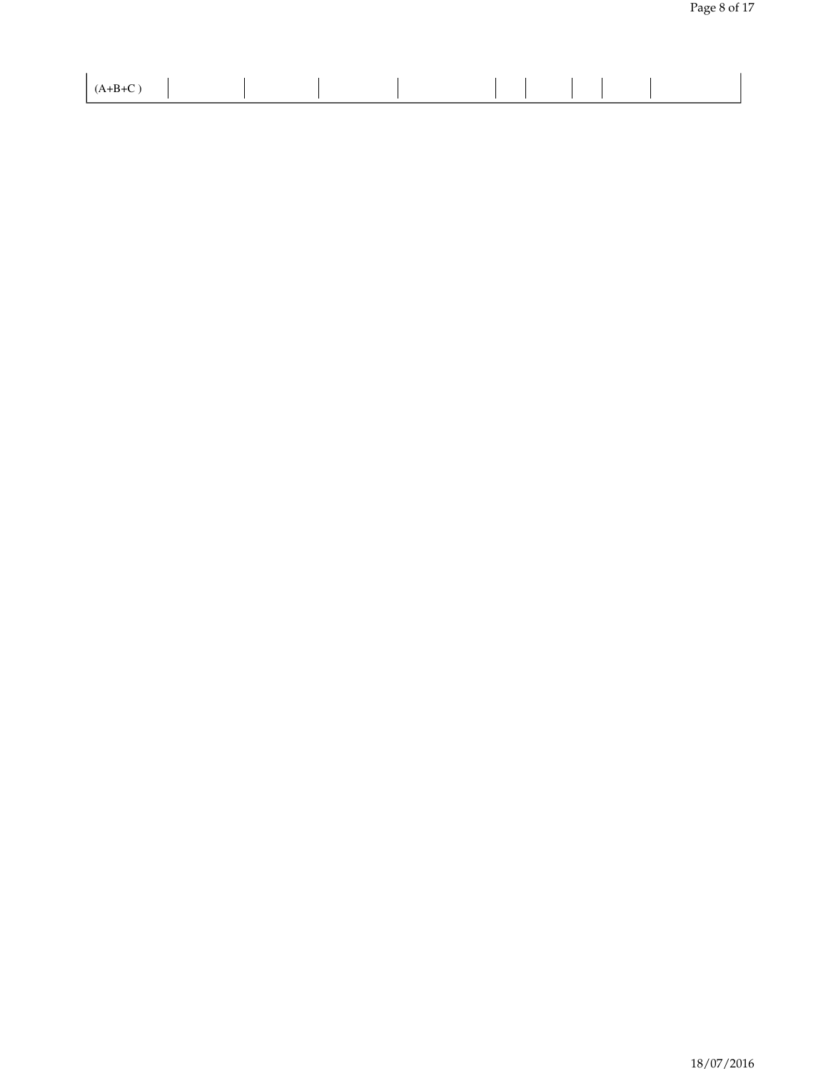| $\cdots$ |  |  |  |  |  |
|----------|--|--|--|--|--|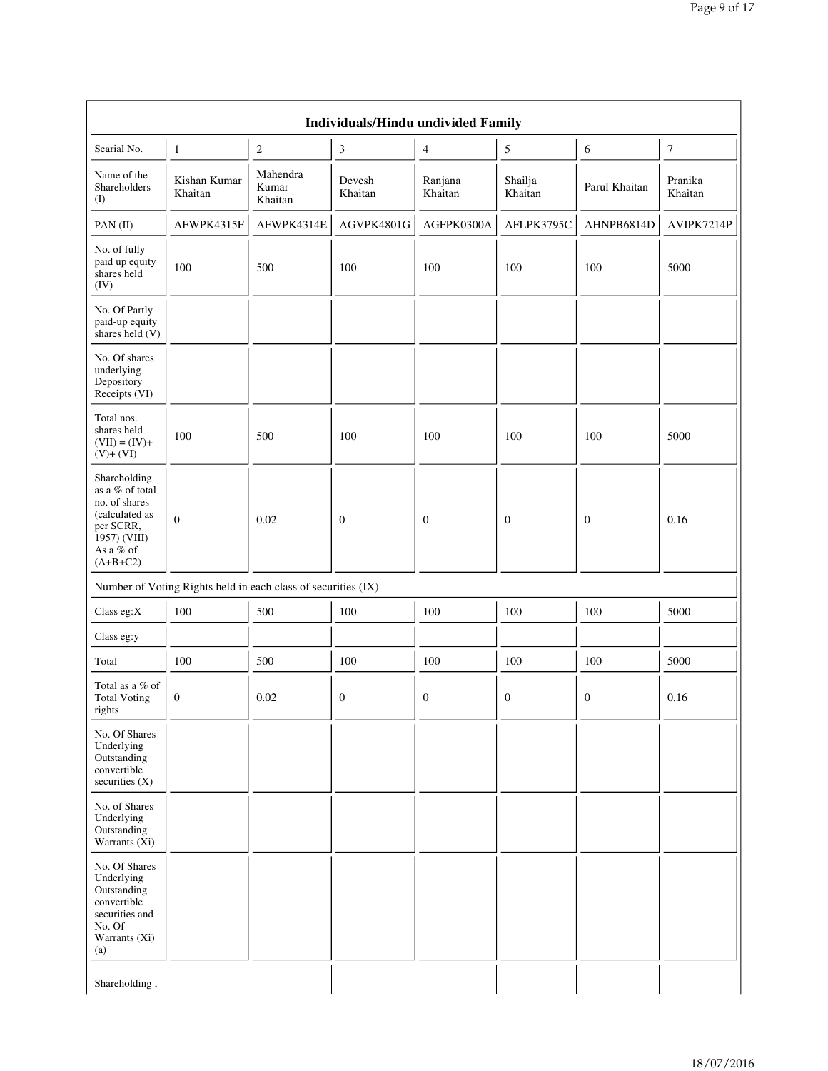|                                                                                                                            |                         |                                                               | Individuals/Hindu undivided Family |                          |                    |                  |                    |
|----------------------------------------------------------------------------------------------------------------------------|-------------------------|---------------------------------------------------------------|------------------------------------|--------------------------|--------------------|------------------|--------------------|
| Searial No.                                                                                                                | $\mathbf{1}$            | $\overline{c}$                                                | 3                                  | $\overline{\mathcal{L}}$ | 5                  | 6                | 7                  |
| Name of the<br>Shareholders<br>(I)                                                                                         | Kishan Kumar<br>Khaitan | Mahendra<br>Kumar<br>Khaitan                                  | Devesh<br>Khaitan                  | Ranjana<br>Khaitan       | Shailja<br>Khaitan | Parul Khaitan    | Pranika<br>Khaitan |
| $PAN$ (II)                                                                                                                 | AFWPK4315F              | AFWPK4314E                                                    | AGVPK4801G                         | AGFPK0300A               | AFLPK3795C         | AHNPB6814D       | AVIPK7214P         |
| No. of fully<br>paid up equity<br>shares held<br>(IV)                                                                      | 100                     | 500                                                           | 100                                | 100                      | 100                | 100              | 5000               |
| No. Of Partly<br>paid-up equity<br>shares held (V)                                                                         |                         |                                                               |                                    |                          |                    |                  |                    |
| No. Of shares<br>underlying<br>Depository<br>Receipts (VI)                                                                 |                         |                                                               |                                    |                          |                    |                  |                    |
| Total nos.<br>shares held<br>$(VII) = (IV) +$<br>$(V)+(VI)$                                                                | 100                     | 500                                                           | 100                                | 100                      | 100                | 100              | 5000               |
| Shareholding<br>as a % of total<br>no. of shares<br>(calculated as<br>per SCRR,<br>1957) (VIII)<br>As a % of<br>$(A+B+C2)$ | $\boldsymbol{0}$        | 0.02                                                          | $\mathbf{0}$                       | $\mathbf{0}$             | $\boldsymbol{0}$   | $\boldsymbol{0}$ | 0.16               |
|                                                                                                                            |                         | Number of Voting Rights held in each class of securities (IX) |                                    |                          |                    |                  |                    |
| Class eg:X                                                                                                                 | 100                     | 500                                                           | 100                                | 100                      | 100                | 100              | 5000               |
| Class eg:y                                                                                                                 |                         |                                                               |                                    |                          |                    |                  |                    |
| Total                                                                                                                      | 100                     | 500                                                           | 100                                | 100                      | 100                | 100              | 5000               |
| Total as a % of<br><b>Total Voting</b><br>rights                                                                           | $\boldsymbol{0}$        | 0.02                                                          | $\mathbf{0}$                       | $\boldsymbol{0}$         | $\boldsymbol{0}$   | $\boldsymbol{0}$ | 0.16               |
| No. Of Shares<br>Underlying<br>Outstanding<br>convertible<br>securities (X)                                                |                         |                                                               |                                    |                          |                    |                  |                    |
| No. of Shares<br>Underlying<br>Outstanding<br>Warrants (Xi)                                                                |                         |                                                               |                                    |                          |                    |                  |                    |
| No. Of Shares<br>Underlying<br>Outstanding<br>convertible<br>securities and<br>No. Of<br>Warrants (Xi)<br>(a)              |                         |                                                               |                                    |                          |                    |                  |                    |
| Shareholding,                                                                                                              |                         |                                                               |                                    |                          |                    |                  |                    |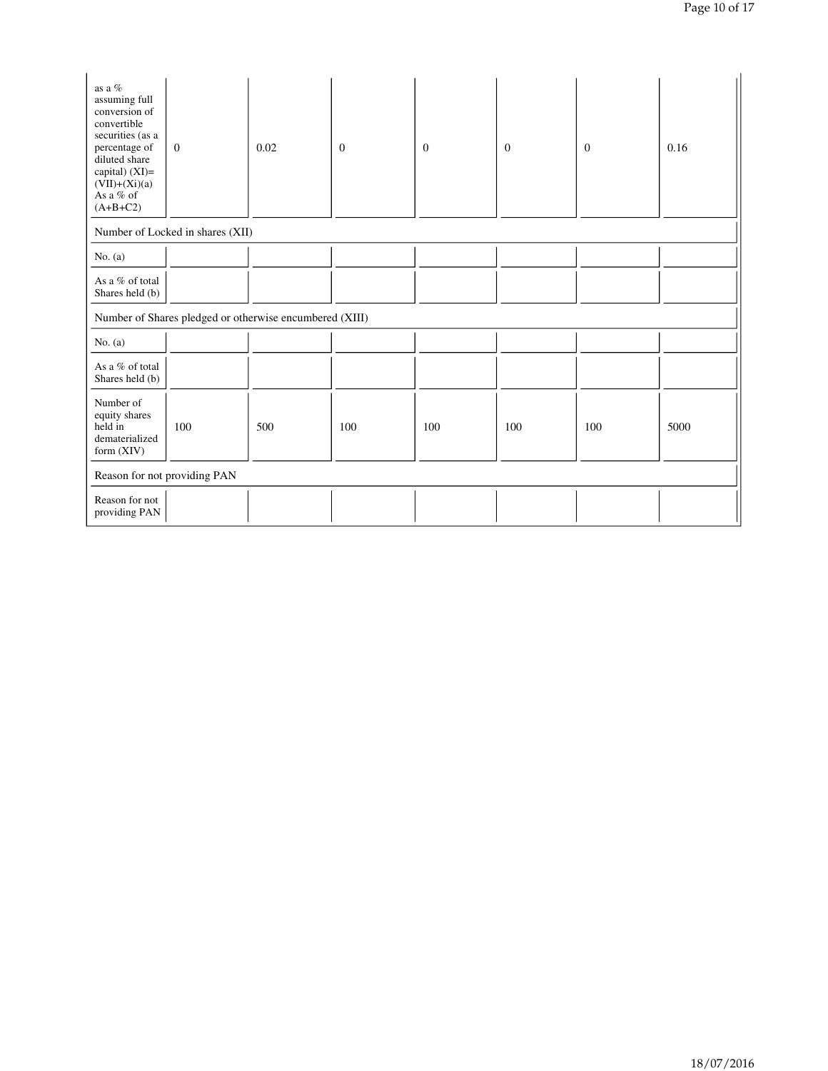| as a %<br>assuming full<br>conversion of<br>convertible<br>securities (as a<br>percentage of<br>diluted share<br>capital) $(XI)=$<br>$(VII)+(Xi)(a)$<br>As a % of<br>$(A+B+C2)$ | $\mathbf{0}$                     | 0.02                                                    | $\theta$ | $\theta$ | $\mathbf{0}$ | $\overline{0}$ | 0.16 |
|---------------------------------------------------------------------------------------------------------------------------------------------------------------------------------|----------------------------------|---------------------------------------------------------|----------|----------|--------------|----------------|------|
|                                                                                                                                                                                 | Number of Locked in shares (XII) |                                                         |          |          |              |                |      |
| No. $(a)$                                                                                                                                                                       |                                  |                                                         |          |          |              |                |      |
| As a % of total<br>Shares held (b)                                                                                                                                              |                                  |                                                         |          |          |              |                |      |
|                                                                                                                                                                                 |                                  | Number of Shares pledged or otherwise encumbered (XIII) |          |          |              |                |      |
| No. $(a)$                                                                                                                                                                       |                                  |                                                         |          |          |              |                |      |
| As a % of total<br>Shares held (b)                                                                                                                                              |                                  |                                                         |          |          |              |                |      |
| Number of<br>equity shares<br>held in<br>dematerialized<br>form (XIV)                                                                                                           | 100                              | 500                                                     | 100      | 100      | 100          | 100            | 5000 |
| Reason for not providing PAN                                                                                                                                                    |                                  |                                                         |          |          |              |                |      |
| Reason for not<br>providing PAN                                                                                                                                                 |                                  |                                                         |          |          |              |                |      |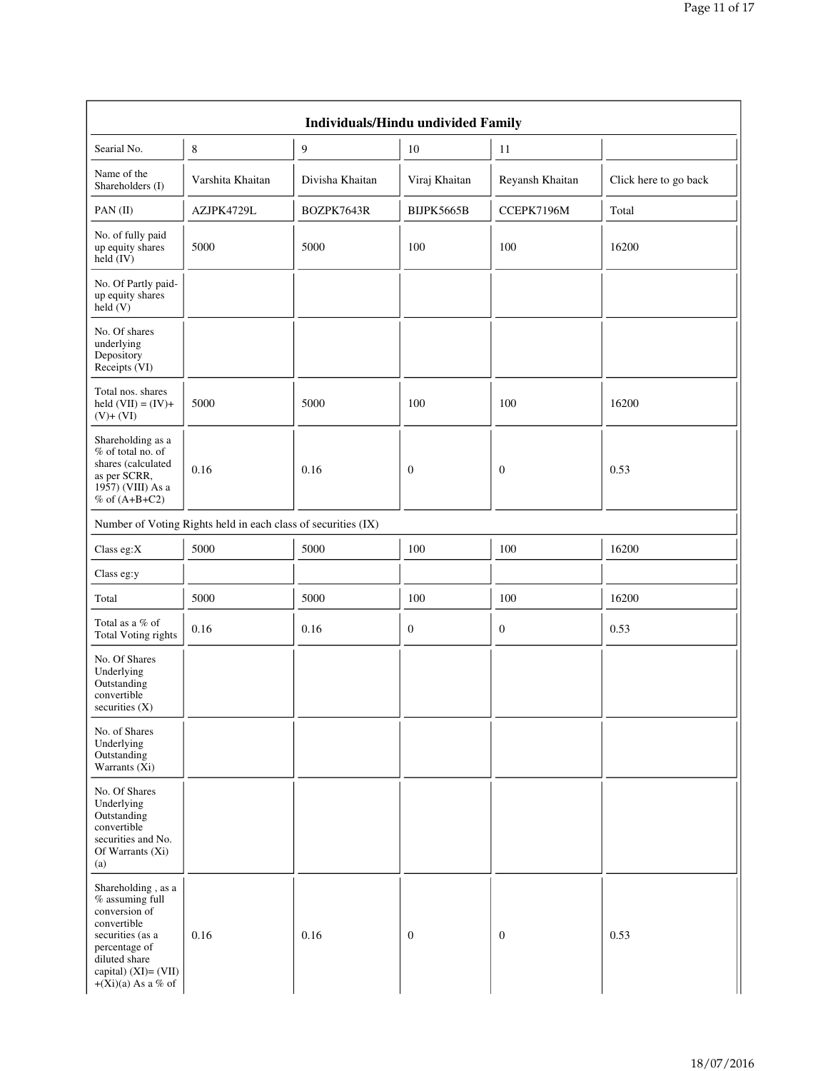|                                                                                                                                                                                |                                                               | Individuals/Hindu undivided Family |                  |                  |                       |
|--------------------------------------------------------------------------------------------------------------------------------------------------------------------------------|---------------------------------------------------------------|------------------------------------|------------------|------------------|-----------------------|
| Searial No.                                                                                                                                                                    | 8                                                             | 9                                  | 10               | 11               |                       |
| Name of the<br>Shareholders (I)                                                                                                                                                | Varshita Khaitan                                              | Divisha Khaitan                    | Viraj Khaitan    | Reyansh Khaitan  | Click here to go back |
| PAN(II)                                                                                                                                                                        | AZJPK4729L                                                    | BOZPK7643R                         | BIJPK5665B       | CCEPK7196M       | Total                 |
| No. of fully paid<br>up equity shares<br>held (IV)                                                                                                                             | 5000                                                          | 5000                               | 100              | 100              | 16200                 |
| No. Of Partly paid-<br>up equity shares<br>held $(V)$                                                                                                                          |                                                               |                                    |                  |                  |                       |
| No. Of shares<br>underlying<br>Depository<br>Receipts (VI)                                                                                                                     |                                                               |                                    |                  |                  |                       |
| Total nos. shares<br>held $(VII) = (IV) +$<br>$(V)+(VI)$                                                                                                                       | 5000                                                          | 5000                               | 100              | 100              | 16200                 |
| Shareholding as a<br>% of total no. of<br>shares (calculated<br>as per SCRR,<br>1957) (VIII) As a<br>% of $(A+B+C2)$                                                           | 0.16                                                          | 0.16                               | $\boldsymbol{0}$ | $\boldsymbol{0}$ | 0.53                  |
|                                                                                                                                                                                | Number of Voting Rights held in each class of securities (IX) |                                    |                  |                  |                       |
| Class eg:X                                                                                                                                                                     | 5000                                                          | 5000                               | 100              | 100              | 16200                 |
| Class eg:y                                                                                                                                                                     |                                                               |                                    |                  |                  |                       |
| Total                                                                                                                                                                          | 5000                                                          | 5000                               | 100              | 100              | 16200                 |
| Total as a % of<br>Total Voting rights                                                                                                                                         | 0.16                                                          | 0.16                               | $\boldsymbol{0}$ | $\mathbf{0}$     | 0.53                  |
| No. Of Shares<br>Underlying<br>Outstanding<br>convertible<br>securities (X)                                                                                                    |                                                               |                                    |                  |                  |                       |
| No. of Shares<br>Underlying<br>Outstanding<br>Warrants $(X_i)$                                                                                                                 |                                                               |                                    |                  |                  |                       |
| No. Of Shares<br>Underlying<br>Outstanding<br>convertible<br>securities and No.<br>Of Warrants (Xi)<br>(a)                                                                     |                                                               |                                    |                  |                  |                       |
| Shareholding, as a<br>$%$ assuming full<br>conversion of<br>convertible<br>securities (as a<br>percentage of<br>diluted share<br>capital) $(XI) = (VII)$<br>+(Xi)(a) As a % of | 0.16                                                          | 0.16                               | $\boldsymbol{0}$ | $\mathbf{0}$     | 0.53                  |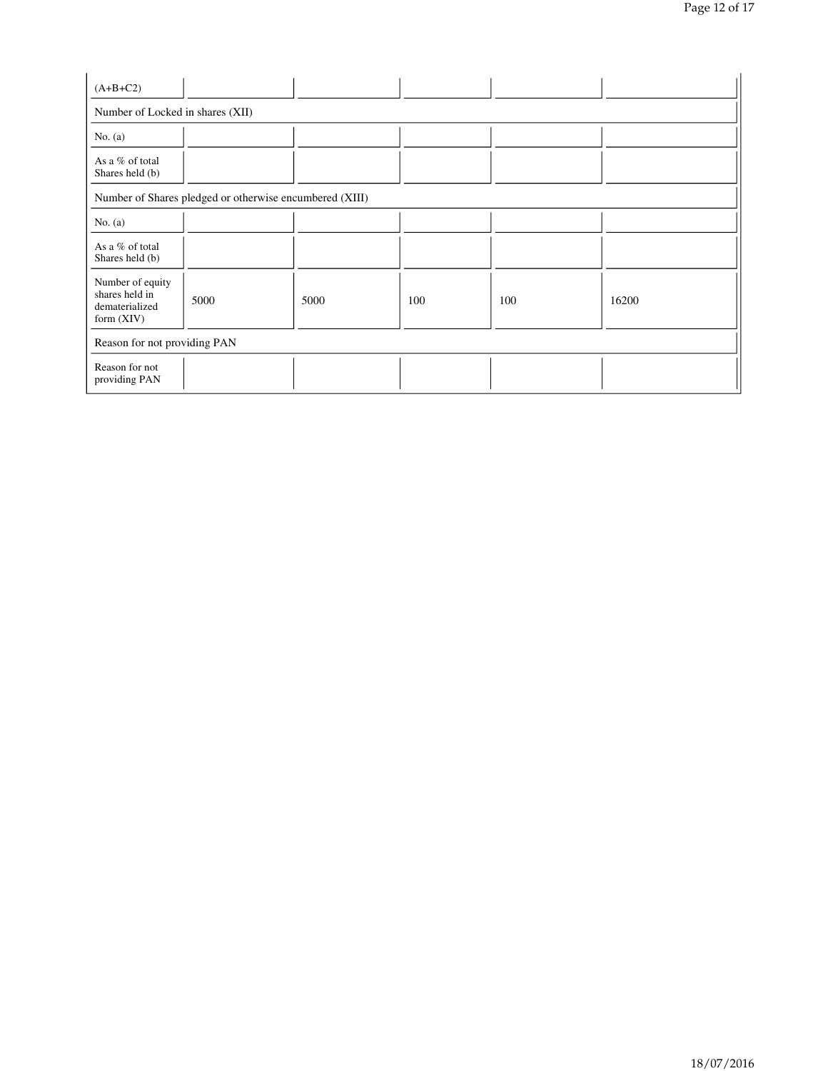| $(A+B+C2)$                                                         |                                                         |      |     |     |       |
|--------------------------------------------------------------------|---------------------------------------------------------|------|-----|-----|-------|
| Number of Locked in shares (XII)                                   |                                                         |      |     |     |       |
| No. $(a)$                                                          |                                                         |      |     |     |       |
| As a % of total<br>Shares held (b)                                 |                                                         |      |     |     |       |
|                                                                    | Number of Shares pledged or otherwise encumbered (XIII) |      |     |     |       |
| No. $(a)$                                                          |                                                         |      |     |     |       |
| As a % of total<br>Shares held (b)                                 |                                                         |      |     |     |       |
| Number of equity<br>shares held in<br>dematerialized<br>form (XIV) | 5000                                                    | 5000 | 100 | 100 | 16200 |
| Reason for not providing PAN                                       |                                                         |      |     |     |       |
| Reason for not<br>providing PAN                                    |                                                         |      |     |     |       |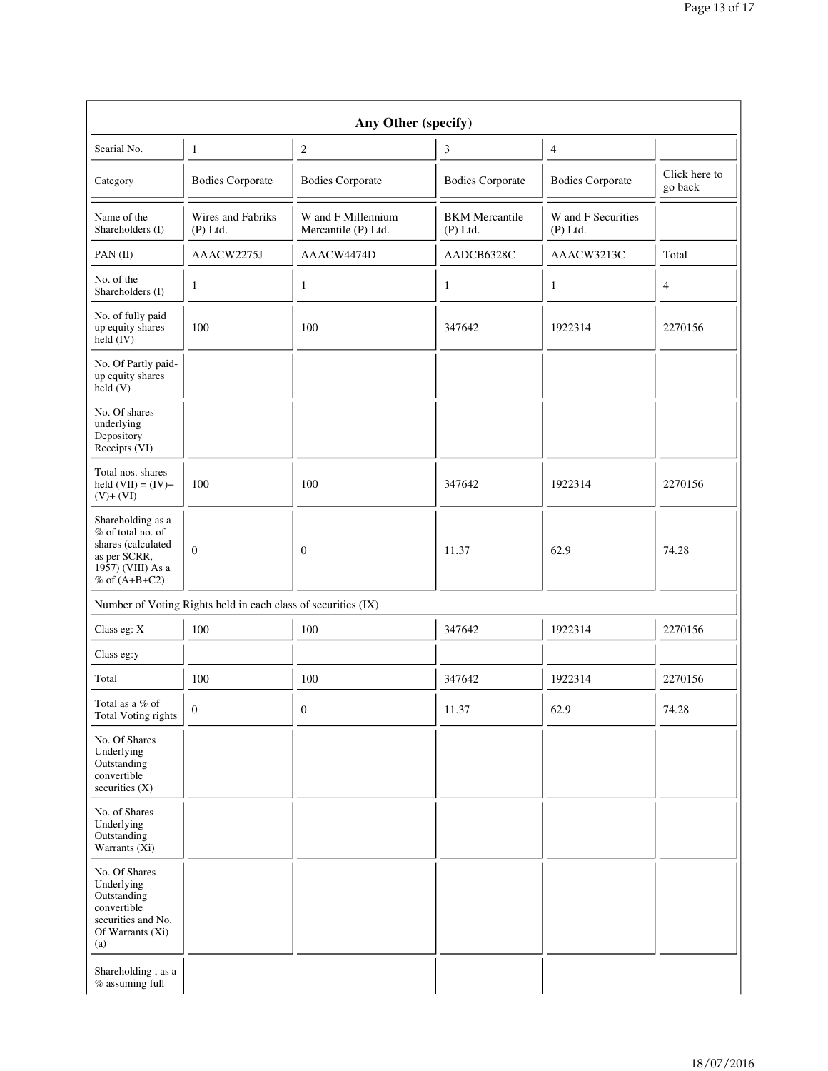| Any Other (specify)                                                                                                  |                                                               |                                           |                                                                         |                |                          |
|----------------------------------------------------------------------------------------------------------------------|---------------------------------------------------------------|-------------------------------------------|-------------------------------------------------------------------------|----------------|--------------------------|
| Searial No.                                                                                                          | 1                                                             | $\overline{2}$                            | 3                                                                       | $\overline{4}$ |                          |
| Category                                                                                                             | <b>Bodies Corporate</b>                                       | <b>Bodies Corporate</b>                   | <b>Bodies Corporate</b><br><b>Bodies Corporate</b>                      |                | Click here to<br>go back |
| Name of the<br>Shareholders (I)                                                                                      | Wires and Fabriks<br>$(P)$ Ltd.                               | W and F Millennium<br>Mercantile (P) Ltd. | W and F Securities<br><b>BKM</b> Mercantile<br>$(P)$ Ltd.<br>$(P)$ Ltd. |                |                          |
| PAN(II)                                                                                                              | AAACW2275J                                                    | AAACW4474D                                | AADCB6328C                                                              | AAACW3213C     | Total                    |
| No. of the<br>Shareholders (I)                                                                                       | 1                                                             | $\mathbf{1}$                              | 1                                                                       | $\mathbf{1}$   | 4                        |
| No. of fully paid<br>up equity shares<br>$held$ (IV)                                                                 | 100                                                           | 100                                       | 347642                                                                  | 1922314        | 2270156                  |
| No. Of Partly paid-<br>up equity shares<br>held(V)                                                                   |                                                               |                                           |                                                                         |                |                          |
| No. Of shares<br>underlying<br>Depository<br>Receipts (VI)                                                           |                                                               |                                           |                                                                         |                |                          |
| Total nos. shares<br>held $(VII) = (IV) +$<br>$(V)+(VI)$                                                             | 100                                                           | 100                                       | 347642                                                                  | 1922314        | 2270156                  |
| Shareholding as a<br>% of total no. of<br>shares (calculated<br>as per SCRR,<br>1957) (VIII) As a<br>% of $(A+B+C2)$ | $\mathbf{0}$                                                  | $\mathbf{0}$                              | 11.37                                                                   | 62.9           | 74.28                    |
|                                                                                                                      | Number of Voting Rights held in each class of securities (IX) |                                           |                                                                         |                |                          |
| Class eg: X                                                                                                          | 100                                                           | 100                                       | 347642                                                                  | 1922314        | 2270156                  |
| Class eg:y                                                                                                           |                                                               |                                           |                                                                         |                |                          |
| Total                                                                                                                | 100                                                           | 100                                       | 347642                                                                  | 1922314        |                          |
| Total as a % of<br>Total Voting rights                                                                               | $\mathbf{0}$                                                  | $\boldsymbol{0}$                          | 11.37                                                                   | 62.9           | 74.28                    |
| No. Of Shares<br>Underlying<br>Outstanding<br>convertible<br>securities (X)                                          |                                                               |                                           |                                                                         |                |                          |
| No. of Shares<br>Underlying<br>Outstanding<br>Warrants (Xi)                                                          |                                                               |                                           |                                                                         |                |                          |
| No. Of Shares<br>Underlying<br>Outstanding<br>convertible<br>securities and No.<br>Of Warrants (Xi)<br>(a)           |                                                               |                                           |                                                                         |                |                          |
| Shareholding, as a<br>% assuming full                                                                                |                                                               |                                           |                                                                         |                |                          |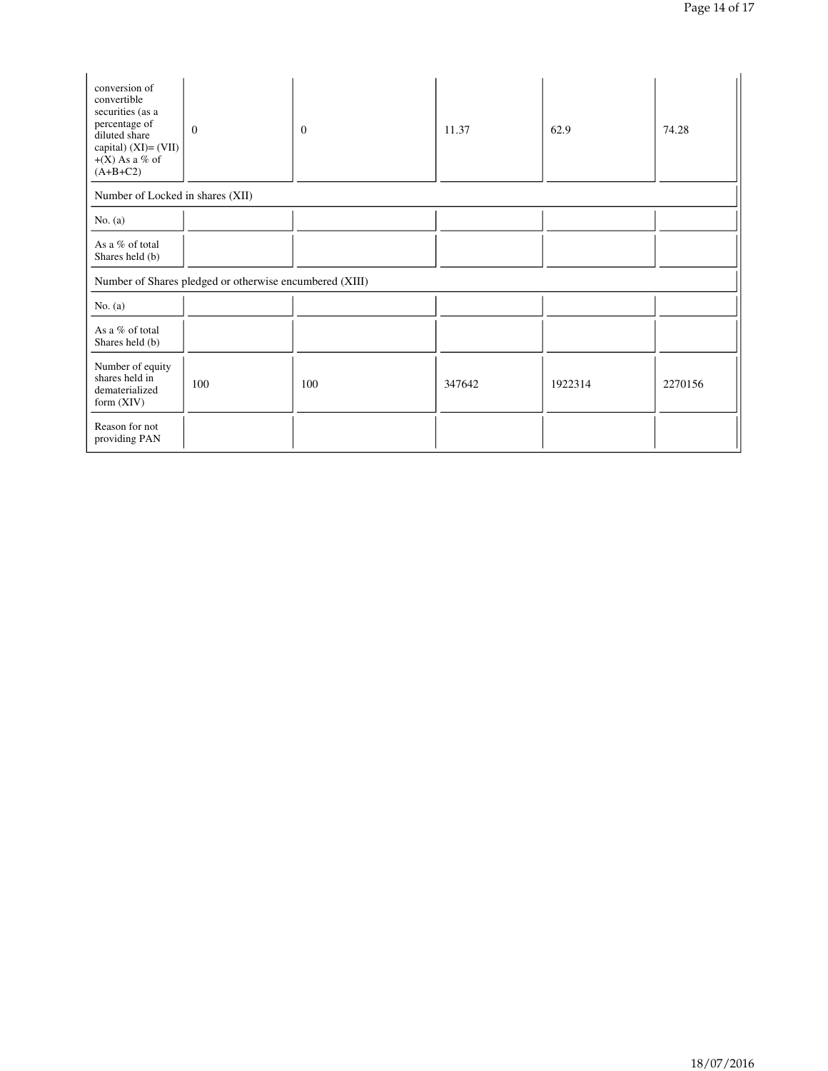| conversion of<br>convertible<br>securities (as a<br>percentage of<br>diluted share<br>capital) $(XI) = (VII)$<br>$+(X)$ As a % of<br>$(A+B+C2)$ | $\Omega$ | $\overline{0}$ | 11.37  | 62.9    | 74.28   |
|-------------------------------------------------------------------------------------------------------------------------------------------------|----------|----------------|--------|---------|---------|
| Number of Locked in shares (XII)                                                                                                                |          |                |        |         |         |
| No. $(a)$                                                                                                                                       |          |                |        |         |         |
| As a % of total<br>Shares held (b)                                                                                                              |          |                |        |         |         |
| Number of Shares pledged or otherwise encumbered (XIII)                                                                                         |          |                |        |         |         |
| No. $(a)$                                                                                                                                       |          |                |        |         |         |
| As a % of total<br>Shares held (b)                                                                                                              |          |                |        |         |         |
| Number of equity<br>shares held in<br>dematerialized<br>form $(XIV)$                                                                            | 100      | 100            | 347642 | 1922314 | 2270156 |
| Reason for not<br>providing PAN                                                                                                                 |          |                |        |         |         |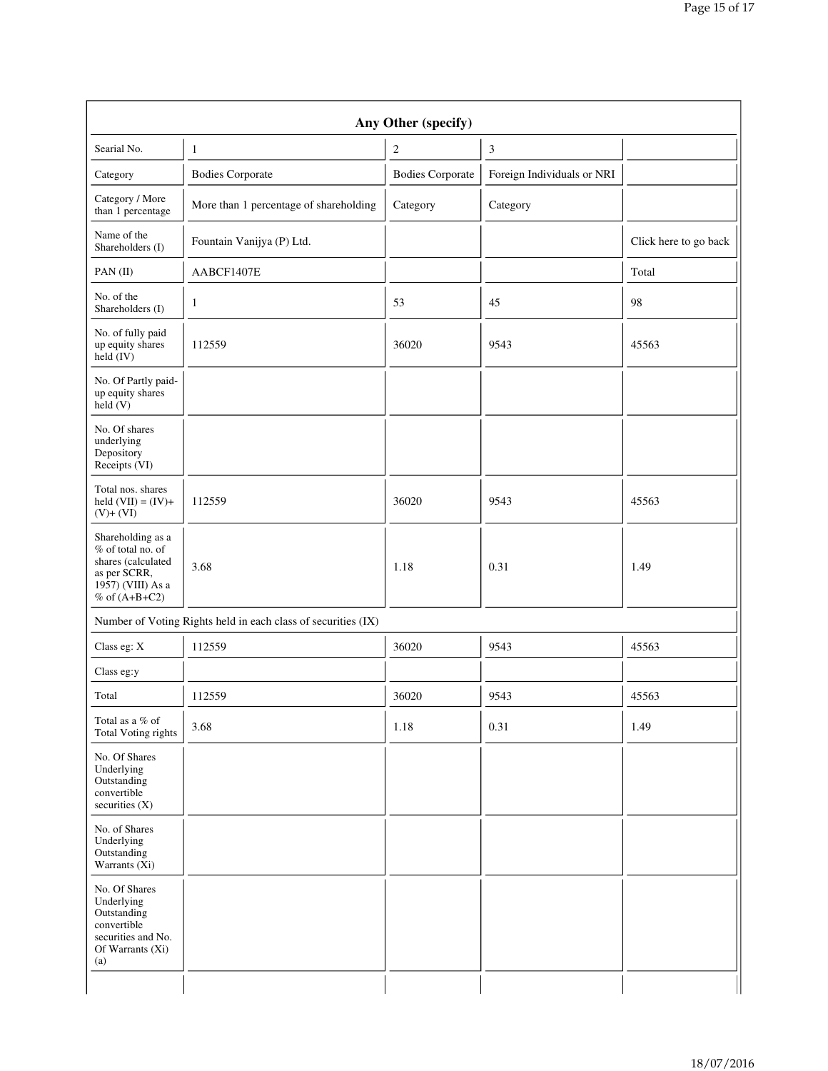| Any Other (specify)                                                                                                  |                                                               |                         |                             |                       |  |
|----------------------------------------------------------------------------------------------------------------------|---------------------------------------------------------------|-------------------------|-----------------------------|-----------------------|--|
| Searial No.                                                                                                          | $\mathbf{1}$                                                  | 2                       | $\ensuremath{\mathfrak{Z}}$ |                       |  |
| Category                                                                                                             | <b>Bodies Corporate</b>                                       | <b>Bodies Corporate</b> | Foreign Individuals or NRI  |                       |  |
| Category / More<br>than 1 percentage                                                                                 | More than 1 percentage of shareholding                        | Category                | Category                    |                       |  |
| Name of the<br>Shareholders (I)                                                                                      | Fountain Vanijya (P) Ltd.                                     |                         |                             | Click here to go back |  |
| $PAN$ (II)                                                                                                           | AABCF1407E                                                    |                         |                             | Total                 |  |
| No. of the<br>Shareholders (I)                                                                                       | 1                                                             | 53                      | 45                          | 98                    |  |
| No. of fully paid<br>up equity shares<br>held (IV)                                                                   | 112559                                                        | 36020                   | 9543                        | 45563                 |  |
| No. Of Partly paid-<br>up equity shares<br>held(V)                                                                   |                                                               |                         |                             |                       |  |
| No. Of shares<br>underlying<br>Depository<br>Receipts (VI)                                                           |                                                               |                         |                             |                       |  |
| Total nos. shares<br>held $(VII) = (IV) +$<br>$(V)+(VI)$                                                             | 112559                                                        | 36020                   | 9543                        | 45563                 |  |
| Shareholding as a<br>% of total no. of<br>shares (calculated<br>as per SCRR,<br>1957) (VIII) As a<br>% of $(A+B+C2)$ | 3.68                                                          | 1.18                    | 0.31                        | 1.49                  |  |
|                                                                                                                      | Number of Voting Rights held in each class of securities (IX) |                         |                             |                       |  |
| Class eg: X                                                                                                          | 112559                                                        | 36020                   | 9543                        | 45563                 |  |
| Class eg:y                                                                                                           |                                                               |                         |                             |                       |  |
| Total                                                                                                                | 112559                                                        | 36020                   | 9543                        | 45563                 |  |
| Total as a $\%$ of<br>Total Voting rights                                                                            | 3.68                                                          | 1.18                    | 0.31                        | 1.49                  |  |
| No. Of Shares<br>Underlying<br>Outstanding<br>convertible<br>securities (X)                                          |                                                               |                         |                             |                       |  |
| No. of Shares<br>Underlying<br>Outstanding<br>Warrants (Xi)                                                          |                                                               |                         |                             |                       |  |
| No. Of Shares<br>Underlying<br>Outstanding<br>convertible<br>securities and No.<br>Of Warrants (Xi)<br>(a)           |                                                               |                         |                             |                       |  |
|                                                                                                                      |                                                               |                         |                             |                       |  |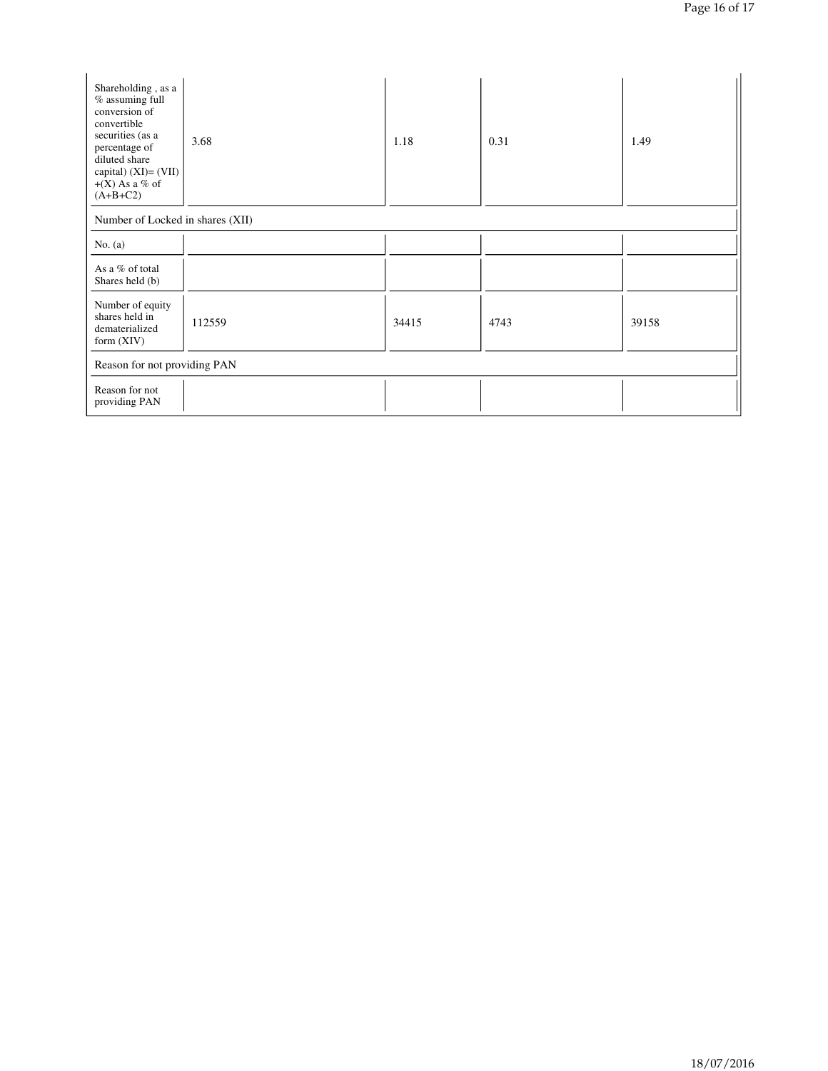| Shareholding, as a<br>% assuming full<br>conversion of<br>convertible<br>securities (as a<br>percentage of<br>diluted share<br>capital) $(XI) = (VII)$<br>$+(X)$ As a % of<br>$(A+B+C2)$ | 3.68   | 1.18  | 0.31 | 1.49  |
|------------------------------------------------------------------------------------------------------------------------------------------------------------------------------------------|--------|-------|------|-------|
| Number of Locked in shares (XII)                                                                                                                                                         |        |       |      |       |
| No. $(a)$                                                                                                                                                                                |        |       |      |       |
| As a % of total<br>Shares held (b)                                                                                                                                                       |        |       |      |       |
| Number of equity<br>shares held in<br>dematerialized<br>form $(XIV)$                                                                                                                     | 112559 | 34415 | 4743 | 39158 |
| Reason for not providing PAN                                                                                                                                                             |        |       |      |       |
| Reason for not<br>providing PAN                                                                                                                                                          |        |       |      |       |